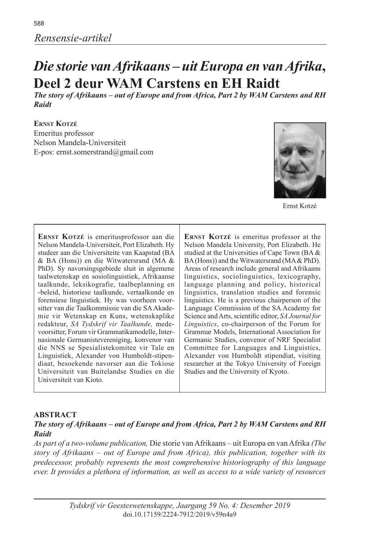# *Die storie van Afrikaans – uit Europa en van Afrika***, Deel 2 deur WAM Carstens en EH Raidt**

*The story of Afrikaans – out of Europe and from Africa, Part 2 by WAM Carstens and RH Raidt*

**Ernst Kotzé** Emeritus professor Nelson Mandela-Universiteit E-pos: ernst.somerstrand@gmail.com



Ernst Kotzé

**Ernst Kotzé** is emeritusprofessor aan die Nelson Mandela-Universiteit, Port Elizabeth. Hy studeer aan die Universiteite van Kaapstad (BA & BA (Hons)) en die Witwatersrand (MA & PhD). Sy navorsingsgebiede sluit in algemene taalwetenskap en sosiolinguistiek, Afrikaanse taalkunde, leksikografie, taalbeplanning en -beleid, historiese taalkunde, vertaalkunde en forensiese linguistiek. Hy was voorheen voorsitter van die Taalkommissie van die SA Akademie vir Wetenskap en Kuns, wetenskaplike redakteur, *SA Tydskrif vir Taalkunde,* medevoorsitter, Forum vir Grammatikamodelle, Internasionale Germanistevereniging, konvenor van die NNS se Spesialistekomitee vir Tale en Linguistiek, Alexander von Humboldt-stipendiaat, besoekende navorser aan die Tokiose Universiteit van Buitelandse Studies en die Universiteit van Kioto.

ERNST KOTZÉ is emeritus professor at the Nelson Mandela University, Port Elizabeth. He studied at the Universities of Cape Town (BA & BA (Hons)) and the Witwatersrand (MA & PhD). Areas of research include general and Afrikaans linguistics, sociolinguistics, lexicography, language planning and policy, historical linguistics, translation studies and forensic linguistics. He is a previous chairperson of the Language Commission of the SA Academy for Science and Arts, scientific editor, *SA Journal for Linguistics*, co-chairperson of the Forum for Grammar Models, International Association for Germanic Studies, convenor of NRF Specialist Committee for Languages and Linguistics, Alexander von Humboldt stipendiat, visiting researcher at the Tokyo University of Foreign Studies and the University of Kyoto.

#### **ABSTRACT**

#### *The story of Afrikaans – out of Europe and from Africa, Part 2 by WAM Carstens and RH Raidt*

*As part of a two-volume publication,* Die storie van Afrikaans – uit Europa en van Afrika *(The story of Afrikaans – out of Europe and from Africa), this publication, together with its predecessor, probably represents the most comprehensive historiography of this language ever. It provides a plethora of information, as well as access to a wide variety of resources*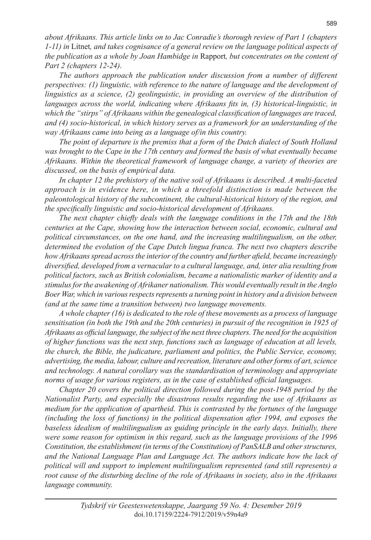*about Afrikaans. This article links on to Jac Conradie's thorough review of Part 1 (chapters 1-11) in* Litnet*, and takes cognisance of a general review on the language political aspects of the publication as a whole by Joan Hambidge in* Rapport*, but concentrates on the content of Part 2 (chapters 12-24).*

*The authors approach the publication under discussion from a number of different perspectives: (1) linguistic, with reference to the nature of language and the development of linguistics as a science, (2) geolinguistic, in providing an overview of the distribution of languages across the world, indicating where Afrikaans fits in, (3) historical-linguistic, in which the "stirps" of Afrikaans within the genealogical classification of languages are traced, and (4) socio-historical, in which history serves as a framework for an understanding of the way Afrikaans came into being as a language of/in this country.*

*The point of departure is the premiss that a form of the Dutch dialect of South Holland was brought to the Cape in the 17th century and formed the basis of what eventually became Afrikaans. Within the theoretical framework of language change, a variety of theories are discussed, on the basis of empirical data.*

*In chapter 12 the prehistory of the native soil of Afrikaans is described. A multi-faceted approach is in evidence here, in which a threefold distinction is made between the paleontological history of the subcontinent, the cultural-historical history of the region, and the specifically linguistic and socio-historical development of Afrikaans.*

*The next chapter chiefly deals with the language conditions in the 17th and the 18th centuries at the Cape, showing how the interaction between social, economic, cultural and political circumstances, on the one hand, and the increasing multilingualism, on the other, determined the evolution of the Cape Dutch lingua franca. The next two chapters describe how Afrikaans spread across the interior of the country and further afield, became increasingly diversified, developed from a vernacular to a cultural language, and, inter alia resulting from political factors, such as British colonialism, became a nationalistic marker of identity and a stimulus for the awakening of Afrikaner nationalism. This would eventually result in the Anglo Boer War, which in various respects represents a turning point in history and a division between (and at the same time a transition between) two language movements.* 

*A whole chapter (16) is dedicated to the role of these movements as a process of language sensitisation (in both the 19th and the 20th centuries) in pursuit of the recognition in 1925 of Afrikaans as official language, the subject of the next three chapters. The need for the acquisition of higher functions was the next step, functions such as language of education at all levels, the church, the Bible, the judicature, parliament and politics, the Public Service, economy, advertising, the media, labour, culture and recreation, literature and other forms of art, science and technology. A natural corollary was the standardisation of terminology and appropriate norms of usage for various registers, as in the case of established official languages.*

*Chapter 20 covers the political direction followed during the post-1948 period by the Nationalist Party, and especially the disastrous results regarding the use of Afrikaans as medium for the application of apartheid. This is contrasted by the fortunes of the language (including the loss of functions) in the political dispensation after 1994, and exposes the baseless idealism of multilingualism as guiding principle in the early days. Initially, there were some reason for optimism in this regard, such as the language provisions of the 1996 Constitution, the establishment (in terms of the Constitution) of PanSALB and other structures, and the National Language Plan and Language Act. The authors indicate how the lack of political will and support to implement multilingualism represented (and still represents) a root cause of the disturbing decline of the role of Afrikaans in society, also in the Afrikaans language community.*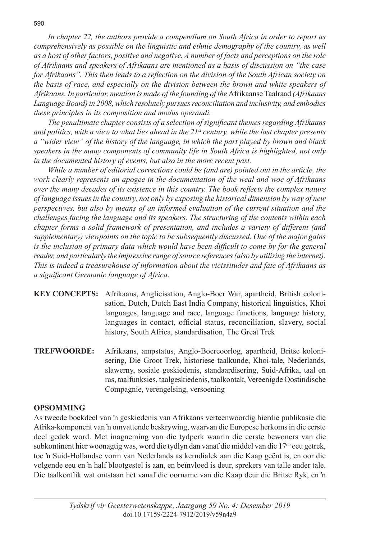*In chapter 22, the authors provide a compendium on South Africa in order to report as comprehensively as possible on the linguistic and ethnic demography of the country, as well as a host of other factors, positive and negative. A number of facts and perceptions on the role of Afrikaans and speakers of Afrikaans are mentioned as a basis of discussion on "the case for Afrikaans". This then leads to a reflection on the division of the South African society on the basis of race, and especially on the division between the brown and white speakers of Afrikaans. In particular, mention is made of the founding of the* Afrikaanse Taalraad *(Afrikaans Language Board) in 2008, which resolutely pursues reconciliation and inclusivity, and embodies these principles in its composition and modus operandi.*

*The penultimate chapter consists of a selection of significant themes regarding Afrikaans and politics, with a view to what lies ahead in the 21st century, while the last chapter presents a "wider view" of the history of the language, in which the part played by brown and black speakers in the many components of community life in South Africa is highlighted, not only in the documented history of events, but also in the more recent past.*

*While a number of editorial corrections could be (and are) pointed out in the article, the work clearly represents an apogee in the documentation of the weal and woe of Afrikaans over the many decades of its existence in this country. The book reflects the complex nature of language issues in the country, not only by exposing the historical dimension by way of new perspectives, but also by means of an informed evaluation of the current situation and the challenges facing the language and its speakers. The structuring of the contents within each chapter forms a solid framework of presentation, and includes a variety of different (and supplementary) viewpoints on the topic to be subsequently discussed. One of the major gains*  is the inclusion of primary data which would have been difficult to come by for the general *reader, and particularly the impressive range of source references (also by utilising the internet). This is indeed a treasurehouse of information about the vicissitudes and fate of Afrikaans as a significant Germanic language of Africa.*

- **KEY CONCEPTS:** Afrikaans, Anglicisation, Anglo-Boer War, apartheid, British colonisation, Dutch, Dutch East India Company, historical linguistics, Khoi languages, language and race, language functions, language history, languages in contact, official status, reconciliation, slavery, social history, South Africa, standardisation, The Great Trek
- **TREFWOORDE:** Afrikaans, ampstatus, Anglo-Boereoorlog, apartheid, Britse kolonisering, Die Groot Trek, historiese taalkunde, Khoi-tale, Nederlands, slawerny, sosiale geskiedenis, standaardisering, Suid-Afrika, taal en ras, taalfunksies, taalgeskiedenis, taalkontak, Vereenigde Oostindische Compagnie, verengelsing, versoening

#### **OPSOMMING**

As tweede boekdeel van 'n geskiedenis van Afrikaans verteenwoordig hierdie publikasie die Afrika-komponent van 'n omvattende beskrywing, waarvan die Europese herkoms in die eerste deel gedek word. Met inagneming van die tydperk waarin die eerste bewoners van die subkontinent hier woonagtig was, word die tydlyn dan vanaf die middel van die 17<sup>de</sup> eeu getrek, toe 'n Suid-Hollandse vorm van Nederlands as kerndialek aan die Kaap geënt is, en oor die volgende eeu en 'n half blootgestel is aan, en beïnvloed is deur, sprekers van talle ander tale. Die taalkonflik wat ontstaan het vanaf die oorname van die Kaap deur die Britse Ryk, en 'n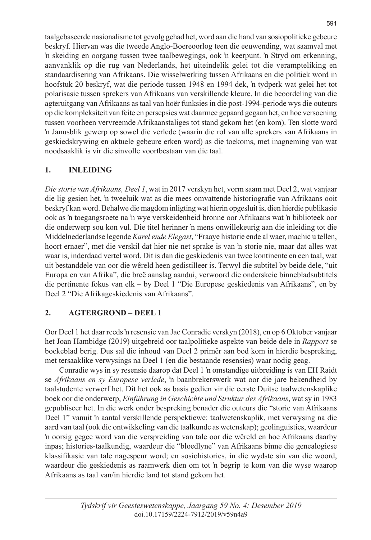taalgebaseerde nasionalisme tot gevolg gehad het, word aan die hand van sosiopolitieke gebeure beskryf. Hiervan was die tweede Anglo-Boereoorlog teen die eeuwending, wat saamval met 'n skeiding en oorgang tussen twee taalbewegings, ook 'n keerpunt. 'n Stryd om erkenning, aanvanklik op die rug van Nederlands, het uiteindelik gelei tot die verampteliking en standaardisering van Afrikaans. Die wisselwerking tussen Afrikaans en die politiek word in hoofstuk 20 beskryf, wat die periode tussen 1948 en 1994 dek, 'n tydperk wat gelei het tot polarisasie tussen sprekers van Afrikaans van verskillende kleure. In die beoordeling van die agteruitgang van Afrikaans as taal van hoër funksies in die post-1994-periode wys die outeurs op die kompleksiteit van feite en persepsies wat daarmee gepaard gegaan het, en hoe versoening tussen voorheen vervreemde Afrikaanstaliges tot stand gekom het (en kom). Ten slotte word 'n Janusblik gewerp op sowel die verlede (waarin die rol van alle sprekers van Afrikaans in geskiedskrywing en aktuele gebeure erken word) as die toekoms, met inagneming van wat noodsaaklik is vir die sinvolle voortbestaan van die taal.

# **1. INLEIDING**

*Die storie van Afrikaans, Deel 1*, wat in 2017 verskyn het, vorm saam met Deel 2, wat vanjaar die lig gesien het, 'n tweeluik wat as die mees omvattende historiografie van Afrikaans ooit beskryf kan word. Behalwe die magdom inligting wat hierin opgesluit is, dien hierdie publikasie ook as 'n toegangsroete na 'n wye verskeidenheid bronne oor Afrikaans wat 'n biblioteek oor die onderwerp sou kon vul. Die titel herinner 'n mens onwillekeurig aan die inleiding tot die Middelnederlandse legende *Karel ende Elegast*, "Fraaye historie ende al waer, machic u tellen, hoort ernaer", met die verskil dat hier nie net sprake is van 'n storie nie, maar dat alles wat waar is, inderdaad vertel word. Dit is dan die geskiedenis van twee kontinente en een taal, wat uit bestanddele van oor die wêreld heen gedistilleer is. Terwyl die subtitel by beide dele, "uit Europa en van Afrika", die breë aanslag aandui, verwoord die onderskeie binnebladsubtitels die pertinente fokus van elk – by Deel 1 "Die Europese geskiedenis van Afrikaans", en by Deel 2 "Die Afrikageskiedenis van Afrikaans".

# **2. AGTERGROND – DEEL 1**

Oor Deel 1 het daar reeds 'n resensie van Jac Conradie verskyn (2018), en op 6 Oktober vanjaar het Joan Hambidge (2019) uitgebreid oor taalpolitieke aspekte van beide dele in *Rapport* se boekeblad berig. Dus sal die inhoud van Deel 2 primêr aan bod kom in hierdie bespreking, met tersaaklike verwysings na Deel 1 (en die bestaande resensies) waar nodig geag.

Conradie wys in sy resensie daarop dat Deel 1 'n omstandige uitbreiding is van EH Raidt se *Afrikaans en sy Europese verlede*, 'n baanbrekerswerk wat oor die jare bekendheid by taalstudente verwerf het. Dit het ook as basis gedien vir die eerste Duitse taalwetenskaplike boek oor die onderwerp, *Einführung in Geschichte und Struktur des Afrikaans*, wat sy in 1983 gepubliseer het. In die werk onder bespreking benader die outeurs die "storie van Afrikaans Deel 1" vanuit 'n aantal verskillende perspektiewe: taalwetenskaplik, met verwysing na die aard van taal (ook die ontwikkeling van die taalkunde as wetenskap); geolinguisties, waardeur 'n oorsig gegee word van die verspreiding van tale oor die wêreld en hoe Afrikaans daarby inpas; histories-taalkundig, waardeur die "bloedlyne" van Afrikaans binne die genealogiese klassifikasie van tale nagespeur word; en sosiohistories, in die wydste sin van die woord, waardeur die geskiedenis as raamwerk dien om tot 'n begrip te kom van die wyse waarop Afrikaans as taal van/in hierdie land tot stand gekom het.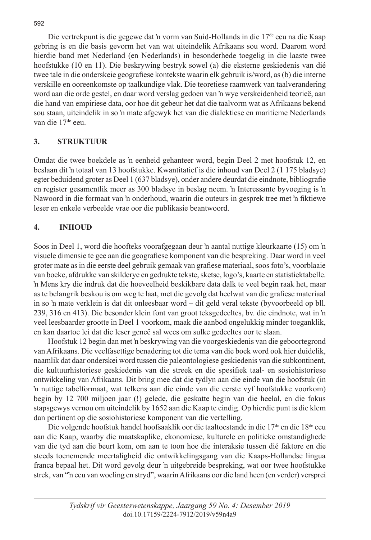Die vertrekpunt is die gegewe dat 'n vorm van Suid-Hollands in die 17<sup>de</sup> eeu na die Kaap gebring is en die basis gevorm het van wat uiteindelik Afrikaans sou word. Daarom word hierdie band met Nederland (en Nederlands) in besonderhede toegelig in die laaste twee hoofstukke (10 en 11). Die beskrywing bestryk sowel (a) die eksterne geskiedenis van dié twee tale in die onderskeie geografiese kontekste waarin elk gebruik is/word, as (b) die interne verskille en ooreenkomste op taalkundige vlak. Die teoretiese raamwerk van taalverandering word aan die orde gestel, en daar word verslag gedoen van 'n wye verskeidenheid teorieë, aan die hand van empiriese data, oor hoe dit gebeur het dat die taalvorm wat as Afrikaans bekend sou staan, uiteindelik in so 'n mate afgewyk het van die dialektiese en maritieme Nederlands van die 17<sup>de</sup> eeu.

# **3. STRUKTUUR**

Omdat die twee boekdele as 'n eenheid gehanteer word, begin Deel 2 met hoofstuk 12, en beslaan dit 'n totaal van 13 hoofstukke. Kwantitatief is die inhoud van Deel 2 (1 175 bladsye) egter beduidend groter as Deel 1 (637 bladsye), onder andere deurdat die eindnote, bibliografie en register gesamentlik meer as 300 bladsye in beslag neem. 'n Interessante byvoeging is 'n Nawoord in die formaat van 'n onderhoud, waarin die outeurs in gesprek tree met 'n fiktiewe leser en enkele verbeelde vrae oor die publikasie beantwoord.

# **4. INHOUD**

Soos in Deel 1, word die hoofteks voorafgegaan deur 'n aantal nuttige kleurkaarte (15) om 'n visuele dimensie te gee aan die geografiese komponent van die bespreking. Daar word in veel groter mate as in die eerste deel gebruik gemaak van grafiese materiaal, soos foto's, voorblaaie van boeke, afdrukke van skilderye en gedrukte tekste, sketse, logo's, kaarte en statistiektabelle. 'n Mens kry die indruk dat die hoeveelheid beskikbare data dalk te veel begin raak het, maar as te belangrik beskou is om weg te laat, met die gevolg dat heelwat van die grafiese materiaal in so 'n mate verklein is dat dit onleesbaar word – dit geld veral tekste (byvoorbeeld op bll. 239, 316 en 413). Die besonder klein font van groot teksgedeeltes, bv. die eindnote, wat in 'n veel leesbaarder grootte in Deel 1 voorkom, maak die aanbod ongelukkig minder toeganklik, en kan daartoe lei dat die leser geneë sal wees om sulke gedeeltes oor te slaan.

Hoofstuk 12 begin dan met 'n beskrywing van die voorgeskiedenis van die geboortegrond van Afrikaans. Die veelfasettige benadering tot die tema van die boek word ook hier duidelik, naamlik dat daar onderskei word tussen die paleontologiese geskiedenis van die subkontinent, die kultuurhistoriese geskiedenis van die streek en die spesifiek taal- en sosiohistoriese ontwikkeling van Afrikaans. Dit bring mee dat die tydlyn aan die einde van die hoofstuk (in 'n nuttige tabelformaat, wat telkens aan die einde van die eerste vyf hoofstukke voorkom) begin by 12 700 miljoen jaar (!) gelede, die geskatte begin van die heelal, en die fokus stapsgewys vernou om uiteindelik by 1652 aan die Kaap te eindig. Op hierdie punt is die klem dan pertinent op die sosiohistoriese komponent van die vertelling.

Die volgende hoofstuk handel hoofsaaklik oor die taaltoestande in die 17<sup>de</sup> en die 18<sup>de</sup> eeu aan die Kaap, waarby die maatskaplike, ekonomiese, kulturele en politieke omstandighede van die tyd aan die beurt kom, om aan te toon hoe die interaksie tussen dié faktore en die steeds toenemende meertaligheid die ontwikkelingsgang van die Kaaps-Hollandse lingua franca bepaal het. Dit word gevolg deur 'n uitgebreide bespreking, wat oor twee hoofstukke strek, van "'n eeu van woeling en stryd", waarin Afrikaans oor die land heen (en verder) versprei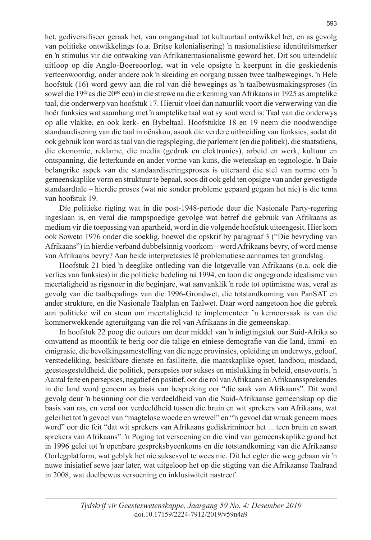het, gediversifiseer geraak het, van omgangstaal tot kultuurtaal ontwikkel het, en as gevolg van politieke ontwikkelings (o.a. Britse kolonialisering) 'n nasionalistiese identiteitsmerker en 'n stimulus vir die ontwaking van Afrikanernasionalisme geword het. Dit sou uiteindelik uitloop op die Anglo-Boereoorlog, wat in vele opsigte 'n keerpunt in die geskiedenis verteenwoordig, onder andere ook 'n skeiding en oorgang tussen twee taalbewegings. 'n Hele hoofstuk (16) word gewy aan die rol van dié bewegings as 'n taalbewusmakingsproses (in sowel die 19de as die 20ste eeu) in die strewe na die erkenning van Afrikaans in 1925 as amptelike taal, die onderwerp van hoofstuk 17. Hieruit vloei dan natuurlik voort die verwerwing van die hoër funksies wat saamhang met 'n amptelike taal wat sy sout werd is: Taal van die onderwys op alle vlakke, en ook kerk- en Bybeltaal. Hoofstukke 18 en 19 neem die noodwendige standaardisering van die taal in oënskou, asook die verdere uitbreiding van funksies, sodat dit ook gebruik kon word as taal van die regspleging, die parlement (en die politiek), die staatsdiens, die ekonomie, reklame, die media (gedruk en elektronies), arbeid en werk, kultuur en ontspanning, die letterkunde en ander vorme van kuns, die wetenskap en tegnologie. 'n Baie belangrike aspek van die standaardiseringsproses is uiteraard die stel van norme om 'n gemeenskaplike vorm en struktuur te bepaal, soos dit ook geld ten opsigte van ander gevestigde standaardtale – hierdie proses (wat nie sonder probleme gepaard gegaan het nie) is die tema van hoofstuk 19.

Die politieke rigting wat in die post-1948-periode deur die Nasionale Party-regering ingeslaan is, en veral die rampspoedige gevolge wat betref die gebruik van Afrikaans as medium vir die toepassing van apartheid, word in die volgende hoofstuk uiteengesit. Hier kom ook Soweto 1976 onder die soeklig, hoewel die opskrif by paragraaf 3 ("Die bevryding van Afrikaans") in hierdie verband dubbelsinnig voorkom – word Afrikaans bevry, of word mense van Afrikaans bevry? Aan beide interpretasies lê problematiese aannames ten grondslag.

Hoofstuk 21 bied 'n deeglike ontleding van die lotgevalle van Afrikaans (o.a. ook die verlies van funksies) in die politieke bedeling ná 1994, en toon die ongegronde idealisme van meertaligheid as rigsnoer in die beginjare, wat aanvanklik 'n rede tot optimisme was, veral as gevolg van die taalbepalings van die 1996-Grondwet, die totstandkoming van PanSAT en ander strukture, en die Nasionale Taalplan en Taalwet. Daar word aangetoon hoe die gebrek aan politieke wil en steun om meertaligheid te implementeer 'n kernoorsaak is van die kommerwekkende agteruitgang van die rol van Afrikaans in die gemeenskap.

In hoofstuk 22 poog die outeurs om deur middel van 'n inligtingstuk oor Suid-Afrika so omvattend as moontlik te berig oor die talige en etniese demografie van die land, immi- en emigrasie, die bevolkingsamestelling van die nege provinsies, opleiding en onderwys, geloof, verstedeliking, beskikbare dienste en fasiliteite, die maatskaplike opset, landbou, misdaad, geestesgesteldheid, die politiek, persepsies oor sukses en mislukking in beleid, ensovoorts. 'n Aantal feite en persepsies, negatief én positief, oor die rol van Afrikaans en Afrikaanssprekendes in die land word genoem as basis van bespreking oor "die saak van Afrikaans". Dit word gevolg deur 'n besinning oor die verdeeldheid van die Suid-Afrikaanse gemeenskap op die basis van ras, en veral oor verdeeldheid tussen die bruin en wit sprekers van Afrikaans, wat gelei het tot 'n gevoel van "magtelose woede en wrewel" en "'n gevoel dat wraak geneem moes word" oor die feit "dat wit sprekers van Afrikaans gediskrimineer het ... teen bruin en swart sprekers van Afrikaans". 'n Poging tot versoening en die vind van gemeenskaplike grond het in 1996 gelei tot 'n openbare gespreksbyeenkoms en die totstandkoming van die Afrikaanse Oorlegplatform, wat geblyk het nie suksesvol te wees nie. Dit het egter die weg gebaan vir 'n nuwe inisiatief sewe jaar later, wat uitgeloop het op die stigting van die Afrikaanse Taalraad in 2008, wat doelbewus versoening en inklusiwiteit nastreef.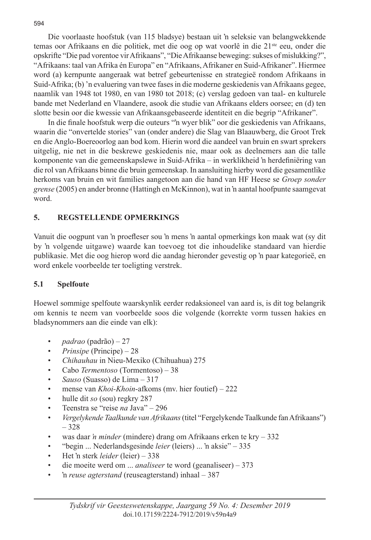Die voorlaaste hoofstuk (van 115 bladsye) bestaan uit 'n seleksie van belangwekkende temas oor Afrikaans en die politiek, met die oog op wat voorlê in die 21<sup>ste</sup> eeu, onder die opskrifte "Die pad vorentoe vir Afrikaans", "Die Afrikaanse beweging: sukses of mislukking?", "Afrikaans: taal van Afrika én Europa" en "Afrikaans, Afrikaner en Suid-Afrikaner". Hiermee word (a) kernpunte aangeraak wat betref gebeurtenisse en strategieë rondom Afrikaans in Suid-Afrika; (b) 'n evaluering van twee fases in die moderne geskiedenis van Afrikaans gegee, naamlik van 1948 tot 1980, en van 1980 tot 2018; (c) verslag gedoen van taal- en kulturele bande met Nederland en Vlaandere, asook die studie van Afrikaans elders oorsee; en (d) ten slotte besin oor die kwessie van Afrikaansgebaseerde identiteit en die begrip "Afrikaner".

In die finale hoofstuk werp die outeurs "'n wyer blik" oor die geskiedenis van Afrikaans, waarin die "onvertelde stories" van (onder andere) die Slag van Blaauwberg, die Groot Trek en die Anglo-Boereoorlog aan bod kom. Hierin word die aandeel van bruin en swart sprekers uitgelig, nie net in die beskrewe geskiedenis nie, maar ook as deelnemers aan die talle komponente van die gemeenskapslewe in Suid-Afrika – in werklikheid 'n herdefiniëring van die rol van Afrikaans binne die bruin gemeenskap. In aansluiting hierby word die gesamentlike herkoms van bruin en wit families aangetoon aan die hand van HF Heese se *Groep sonder grense* (2005) en ander bronne (Hattingh en McKinnon), wat in 'n aantal hoofpunte saamgevat word.

### **5. REGSTELLENDE OPMERKINGS**

Vanuit die oogpunt van 'n proefleser sou 'n mens 'n aantal opmerkings kon maak wat (sy dit by 'n volgende uitgawe) waarde kan toevoeg tot die inhoudelike standaard van hierdie publikasie. Met die oog hierop word die aandag hieronder gevestig op 'n paar kategorieë, en word enkele voorbeelde ter toeligting verstrek.

### **5.1 Spelfoute**

Hoewel sommige spelfoute waarskynlik eerder redaksioneel van aard is, is dit tog belangrik om kennis te neem van voorbeelde soos die volgende (korrekte vorm tussen hakies en bladsynommers aan die einde van elk):

- *padrao* (padrão) 27
- *Prinsipe* (Principe) 28
- *Chihauhau* in Nieu-Mexiko (Chihuahua) 275
- Cabo *Termentoso* (Tormentoso) 38
- *Sauso* (Suasso) de Lima 317
- mense van *Khoi-Khoin*-afkoms (mv. hier foutief) 222
- hulle dit *so* (sou) regkry 287
- Teenstra se "reise *na* Java" 296
- *Vergelykende Taalkunde van Afrikaans* (titel "Fergelykende Taalkunde fan Afrikaans") – 328
- was daar *'n minder* (mindere) drang om Afrikaans erken te kry 332
- "begin ... Nederlandsgesinde *leier* (leiers) ... 'n aksie" 335
- Het 'n sterk *leider* (leier) 338
- die moeite werd om ... *analiseer* te word (geanaliseer) 373
- 'n *reuse agterstand* (reuseagterstand) inhaal 387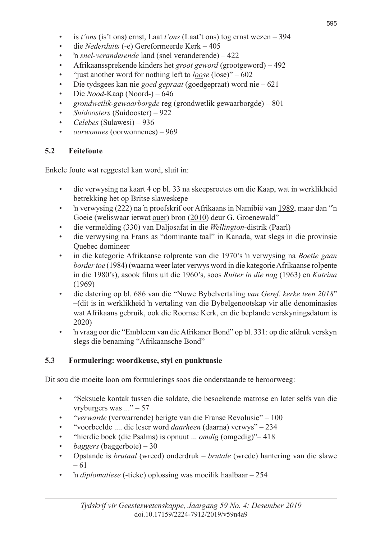- is *t'ons* (is't ons) ernst, Laat *t'ons* (Laat't ons) tog ernst wezen 394
- die *Nederduits* (-e) Gereformeerde Kerk 405
- 'n *snel-veranderende* land (snel veranderende) 422
- Afrikaanssprekende kinders het *groot geword* (grootgeword) 492
- "just another word for nothing left to *loose* (lose)" 602
- Die tydsgees kan nie *goed gepraat* (goedgepraat) word nie 621
- Die *Nood*-Kaap (Noord-) 646
- *grondwetlik-gewaarborgde* reg (grondwetlik gewaarborgde) 801
- *Suidoosters* (Suidooster) 922
- *Celebes* (Sulawesi) 936
- *oorwonnes* (oorwonnenes) 969

#### **5.2 Feitefoute**

Enkele foute wat reggestel kan word, sluit in:

- die verwysing na kaart 4 op bl. 33 na skeepsroetes om die Kaap, wat in werklikheid betrekking het op Britse slaweskepe
- 'n verwysing (222) na 'n proefskrif oor Afrikaans in Namibië van 1989, maar dan "'n Goeie (weliswaar ietwat ouer) bron (2010) deur G. Groenewald"
- die vermelding (330) van Daljosafat in die *Wellington*-distrik (Paarl)
- die verwysing na Frans as "dominante taal" in Kanada, wat slegs in die provinsie Quebec domineer
- in die kategorie Afrikaanse rolprente van die 1970's 'n verwysing na *Boetie gaan border toe* (1984) (waarna weer later verwys word in die kategorie Afrikaanse rolpente in die 1980's), asook films uit die 1960's, soos *Ruiter in die nag* (1963) en *Katrina* (1969)
- die datering op bl. 686 van die "Nuwe Bybelvertaling *van Geref. kerke teen 2018*" –(dit is in werklikheid 'n vertaling van die Bybelgenootskap vir alle denominasies wat Afrikaans gebruik, ook die Roomse Kerk, en die beplande verskyningsdatum is 2020)
- 'n vraag oor die "Embleem van die Afrikaner Bond" op bl. 331: op die afdruk verskyn slegs die benaming "Afrikaansche Bond"

### **5.3 Formulering: woordkeuse, styl en punktuasie**

Dit sou die moeite loon om formulerings soos die onderstaande te heroorweeg:

- "Seksuele kontak tussen die soldate, die besoekende matrose en later selfs van die vryburgers was ..." – 57
- "*verwarde* (verwarrende) berigte van die Franse Revolusie" 100
- "voorbeelde .... die leser word *daarheen* (daarna) verwys" 234
- "hierdie boek (die Psalms) is opnuut ... *omdig* (omgedig)"– 418
- *baggers* (baggerbote) 30
- Opstande is *brutaal* (wreed) onderdruk *brutale* (wrede) hantering van die slawe – 61
- 'n *diplomatiese* (-tieke) oplossing was moeilik haalbaar 254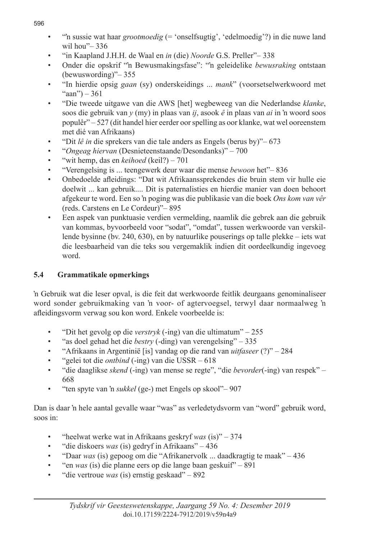- "'n sussie wat haar *grootmoedig* (= 'onselfsugtig', 'edelmoedig'?) in die nuwe land wil hou"– 336
- "in Kaapland J.H.H. de Waal en *in* (die) *Noorde* G.S. Preller"– 338
- Onder die opskrif "'n Bewusmakingsfase": "'n geleidelike *bewusraking* ontstaan (bewuswording)"– 355
- "In hierdie opsig *gaan* (sy) onderskeidings ... *mank*" (voorsetselwerkwoord met "aan") – 361
- "Die tweede uitgawe van die AWS [het] wegbeweeg van die Nederlandse *klanke*, soos die gebruik van *y* (my) in plaas van *ij*, asook *ê* in plaas van *ai* in 'n woord soos populêr" – 527 (dit handel hier eerder oor spelling as oor klanke, wat wel ooreenstem met dié van Afrikaans)
- "Dit *lê in* die sprekers van die tale anders as Engels (berus by)"– 673
- "*Ongeag hiervan* (Desnieteenstaande/Desondanks)" 700
- "wit hemp, das en *keihoed* (keil?) 701
- "Verengelsing is ... teengewerk deur waar die mense *bewoon* het"– 836
- Onbedoelde afleidings: "Dat wit Afrikaanssprekendes die bruin stem vir hulle eie doelwit ... kan gebruik.... Dit is paternalisties en hierdie manier van doen behoort afgekeur te word. Een so 'n poging was die publikasie van die boek *Ons kom van vêr* (reds. Carstens en Le Cordeur)"– 895
- Een aspek van punktuasie verdien vermelding, naamlik die gebrek aan die gebruik van kommas, byvoorbeeld voor "sodat", "omdat", tussen werkwoorde van verskillende bysinne (bv. 240, 630), en by natuurlike pouserings op talle plekke – iets wat die leesbaarheid van die teks sou vergemaklik indien dit oordeelkundig ingevoeg word.

# **5.4 Grammatikale opmerkings**

'n Gebruik wat die leser opval, is die feit dat werkwoorde feitlik deurgaans genominaliseer word sonder gebruikmaking van 'n voor- of agtervoegsel, terwyl daar normaalweg 'n afleidingsvorm verwag sou kon word. Enkele voorbeelde is:

- "Dit het gevolg op die *verstryk* (-ing) van die ultimatum" 255
- "as doel gehad het die *bestry* (-ding) van verengelsing" 335
- "Afrikaans in Argentinië [is] vandag op die rand van *uitfaseer* (?)" 284
- "gelei tot die *ontbind* (-ing) van die USSR 618
- "die daaglikse *skend* (-ing) van mense se regte", "die *bevorder*(-ing) van respek" 668
- "ten spyte van 'n *sukkel* (ge-) met Engels op skool"– 907

Dan is daar 'n hele aantal gevalle waar "was" as verledetydsvorm van "word" gebruik word, soos in:

- "heelwat werke wat in Afrikaans geskryf *was* (is)" 374
- "die diskoers *was* (is) gedryf in Afrikaans" 436
- "Daar *was* (is) gepoog om die "Afrikanervolk ... daadkragtig te maak" 436
- "en *was* (is) die planne eers op die lange baan geskuif" 891
- "die vertroue *was* (is) ernstig geskaad" 892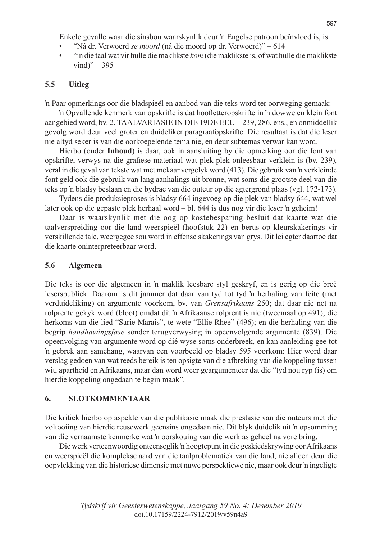Enkele gevalle waar die sinsbou waarskynlik deur 'n Engelse patroon beïnvloed is, is:

- "Ná dr. Verwoerd *se moord* (ná die moord op dr. Verwoerd)" 614
- "in die taal wat vir hulle die maklikste *kom* (die maklikste is, of wat hulle die maklikste vind)"  $-395$

# **5.5 Uitleg**

'n Paar opmerkings oor die bladspieël en aanbod van die teks word ter oorweging gemaak:

'n Opvallende kenmerk van opskrifte is dat hoofletteropskrifte in 'n dowwe en klein font aangebied word, bv. 2. TAALVARIASIE IN DIE 19DE EEU – 239, 286, ens., en onmiddellik gevolg word deur veel groter en duideliker paragraafopskrifte. Die resultaat is dat die leser nie altyd seker is van die oorkoepelende tema nie, en deur subtemas verwar kan word.

Hierbo (onder **Inhoud**) is daar, ook in aansluiting by die opmerking oor die font van opskrifte, verwys na die grafiese materiaal wat plek-plek onleesbaar verklein is (bv. 239), veral in die geval van tekste wat met mekaar vergelyk word (413). Die gebruik van 'n verkleinde font geld ook die gebruik van lang aanhalings uit bronne, wat soms die grootste deel van die teks op 'n bladsy beslaan en die bydrae van die outeur op die agtergrond plaas (vgl. 172-173).

Tydens die produksieproses is bladsy 664 ingevoeg op die plek van bladsy 644, wat wel later ook op die gepaste plek herhaal word – bl. 644 is dus nog vir die leser 'n geheim!

Daar is waarskynlik met die oog op kostebesparing besluit dat kaarte wat die taalverspreiding oor die land weerspieël (hoofstuk 22) en berus op kleurskakerings vir verskillende tale, weergegee sou word in effense skakerings van grys. Dit lei egter daartoe dat die kaarte oninterpreteerbaar word.

# **5.6 Algemeen**

Die teks is oor die algemeen in 'n maklik leesbare styl geskryf, en is gerig op die breë leserspubliek. Daarom is dit jammer dat daar van tyd tot tyd 'n herhaling van feite (met verduideliking) en argumente voorkom, bv. van *Grensafrikaans* 250; dat daar nie net na rolprente gekyk word (bloot) omdat dit 'n Afrikaanse rolprent is nie (tweemaal op 491); die herkoms van die lied "Sarie Marais", te wete "Ellie Rhee" (496); en die herhaling van die begrip *handhawingsfase* sonder terugverwysing in opeenvolgende argumente (839). Die opeenvolging van argumente word op dié wyse soms onderbreek, en kan aanleiding gee tot 'n gebrek aan samehang, waarvan een voorbeeld op bladsy 595 voorkom: Hier word daar verslag gedoen van wat reeds bereik is ten opsigte van die afbreking van die koppeling tussen wit, apartheid en Afrikaans, maar dan word weer geargumenteer dat die "tyd nou ryp (is) om hierdie koppeling ongedaan te begin maak".

# **6. SLOTKOMMENTAAR**

Die kritiek hierbo op aspekte van die publikasie maak die prestasie van die outeurs met die voltooiing van hierdie reusewerk geensins ongedaan nie. Dit blyk duidelik uit 'n opsomming van die vernaamste kenmerke wat 'n oorskouing van die werk as geheel na vore bring.

Die werk verteenwoordig onteenseglik 'n hoogtepunt in die geskiedskrywing oor Afrikaans en weerspieël die komplekse aard van die taalproblematiek van die land, nie alleen deur die oopvlekking van die historiese dimensie met nuwe perspektiewe nie, maar ook deur 'n ingeligte